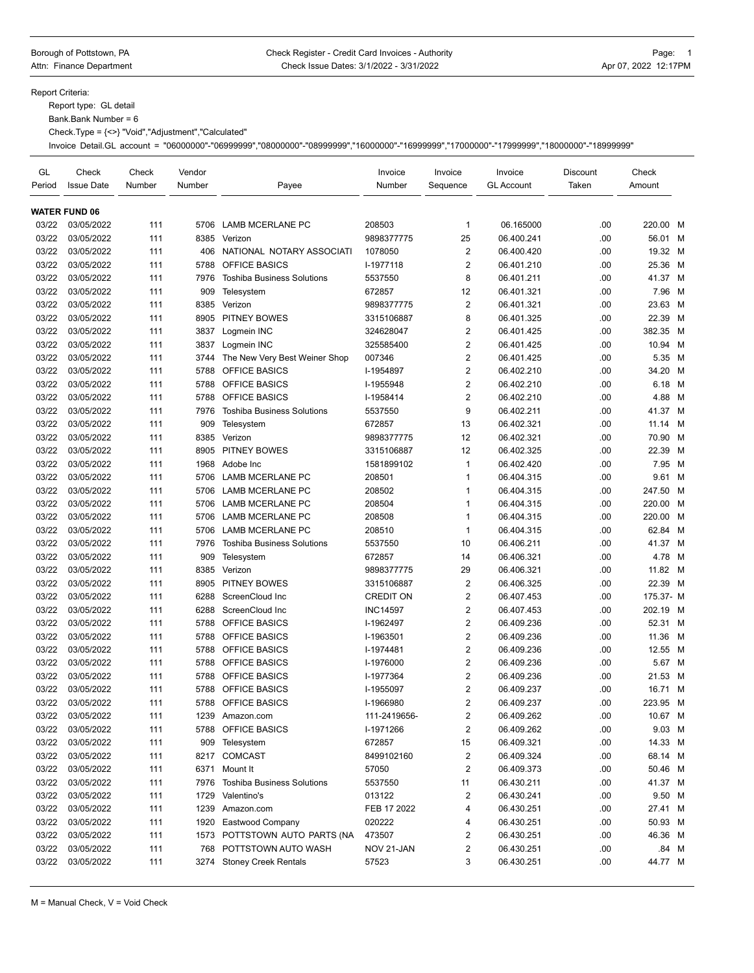Report Criteria:

Report type: GL detail

Bank.Bank Number = 6

Check.Type = {<>} "Void","Adjustment","Calculated"

Invoice Detail.GL account = "06000000"-"06999999","08000000"-"08999999","16000000"-"16999999","17000000"-"17999999","18000000"-"18999999"

| GL<br>Period   | Check<br><b>Issue Date</b> | Check<br>Number | Vendor<br>Number | Payee                                 | Invoice<br>Number | Invoice<br>Sequence | Invoice<br><b>GL Account</b> | Discount<br>Taken | Check<br>Amount    |   |
|----------------|----------------------------|-----------------|------------------|---------------------------------------|-------------------|---------------------|------------------------------|-------------------|--------------------|---|
|                | <b>WATER FUND 06</b>       |                 |                  |                                       |                   |                     |                              |                   |                    |   |
| 03/22          | 03/05/2022                 | 111             | 5706             | <b>LAMB MCERLANE PC</b>               | 208503            | 1                   | 06.165000                    | .00               | 220.00 M           |   |
| 03/22          | 03/05/2022                 | 111             | 8385             | Verizon                               | 9898377775        | 25                  | 06.400.241                   | .00               | 56.01 M            |   |
| 03/22          | 03/05/2022                 | 111             | 406              | NATIONAL NOTARY ASSOCIATI             | 1078050           | $\overline{2}$      | 06.400.420                   | .00               | 19.32 M            |   |
| 03/22          | 03/05/2022                 | 111             | 5788             | OFFICE BASICS                         | I-1977118         | $\overline{2}$      | 06.401.210                   | .00               | 25.36 M            |   |
| 03/22          | 03/05/2022                 | 111             | 7976             | <b>Toshiba Business Solutions</b>     | 5537550           | 8                   | 06.401.211                   | .00               | 41.37 M            |   |
| 03/22          | 03/05/2022                 | 111             | 909              | Telesystem                            | 672857            | 12                  | 06.401.321                   | .00               | 7.96               | M |
| 03/22          | 03/05/2022                 | 111             | 8385             | Verizon                               | 9898377775        | $\overline{2}$      | 06.401.321                   | .00               | 23.63 M            |   |
| 03/22          | 03/05/2022                 | 111             | 8905             | PITNEY BOWES                          | 3315106887        | 8                   | 06.401.325                   | .00               | 22.39              | M |
| 03/22          | 03/05/2022                 | 111             | 3837             | Logmein INC                           | 324628047         | $\overline{c}$      | 06.401.425                   | .00               | 382.35 M           |   |
| 03/22          | 03/05/2022                 | 111             | 3837             | Logmein INC                           | 325585400         | $\overline{2}$      | 06.401.425                   | .00               | 10.94 M            |   |
| 03/22          | 03/05/2022                 | 111             | 3744             | The New Very Best Weiner Shop         | 007346            | $\overline{2}$      | 06.401.425                   | .00               | 5.35 M             |   |
| 03/22          | 03/05/2022                 | 111             | 5788             | <b>OFFICE BASICS</b>                  | I-1954897         | $\overline{2}$      | 06.402.210                   | .00               | 34.20 M            |   |
| 03/22          | 03/05/2022                 | 111             | 5788             | OFFICE BASICS                         | I-1955948         | 2                   | 06.402.210                   | .00               | 6.18 M             |   |
| 03/22          | 03/05/2022                 | 111             | 5788             | OFFICE BASICS                         | I-1958414         | $\overline{c}$      | 06.402.210                   | .00               | 4.88               | M |
| 03/22          | 03/05/2022                 | 111             | 7976             | <b>Toshiba Business Solutions</b>     | 5537550           | 9                   | 06.402.211                   | .00               | 41.37 M            |   |
| 03/22          | 03/05/2022                 | 111             | 909              | Telesystem                            | 672857            | 13                  | 06.402.321                   | .00               | 11.14 M            |   |
| 03/22          | 03/05/2022                 | 111             | 8385             | Verizon                               | 9898377775        | 12                  | 06.402.321                   | .00               | 70.90 M            |   |
| 03/22          | 03/05/2022                 | 111             | 8905             | PITNEY BOWES                          | 3315106887        | 12                  | 06.402.325                   | .00               | 22.39              | M |
| 03/22          | 03/05/2022                 | 111             | 1968             | Adobe Inc                             | 1581899102        | $\mathbf{1}$        | 06.402.420                   | .00               | 7.95               | M |
| 03/22          | 03/05/2022                 | 111             | 5706             | <b>LAMB MCERLANE PC</b>               | 208501            | $\mathbf{1}$        | 06.404.315                   | .00               | 9.61 M             |   |
| 03/22          | 03/05/2022                 | 111             | 5706             | <b>LAMB MCERLANE PC</b>               | 208502            | 1                   | 06.404.315                   | .00               | 247.50 M           |   |
| 03/22          | 03/05/2022                 | 111             | 5706             | <b>LAMB MCERLANE PC</b>               | 208504            | $\mathbf{1}$        | 06.404.315                   | .00               | 220.00 M           |   |
| 03/22          | 03/05/2022                 | 111             | 5706             | <b>LAMB MCERLANE PC</b>               | 208508            | $\mathbf{1}$        | 06.404.315                   | .00               | 220.00 M           |   |
| 03/22          | 03/05/2022                 | 111             | 5706             | <b>LAMB MCERLANE PC</b>               | 208510            | $\mathbf{1}$        | 06.404.315                   | .00               | 62.84 M            |   |
| 03/22          | 03/05/2022                 | 111             | 7976             | <b>Toshiba Business Solutions</b>     | 5537550           | 10                  | 06.406.211                   | .00               | 41.37 M            |   |
| 03/22          | 03/05/2022                 | 111             | 909              | Telesystem                            | 672857            | 14                  | 06.406.321                   | .00               | 4.78 M             |   |
| 03/22          | 03/05/2022                 | 111             | 8385             | Verizon                               | 9898377775        | 29                  | 06.406.321                   | .00               | 11.82 M            |   |
| 03/22          | 03/05/2022                 | 111             | 8905             | PITNEY BOWES                          | 3315106887        | 2                   | 06.406.325                   | .00               | 22.39 M            |   |
| 03/22          | 03/05/2022                 | 111             | 6288             | ScreenCloud Inc                       | <b>CREDIT ON</b>  | $\overline{2}$      | 06.407.453                   | .00               | 175.37- M          |   |
| 03/22          | 03/05/2022                 | 111             | 6288             | ScreenCloud Inc                       | <b>INC14597</b>   | $\overline{2}$      | 06.407.453                   | .00               | 202.19 M           |   |
| 03/22          |                            |                 | 5788             | <b>OFFICE BASICS</b>                  | I-1962497         | 2                   |                              | .00               |                    |   |
| 03/22          | 03/05/2022<br>03/05/2022   | 111<br>111      | 5788             | OFFICE BASICS                         | I-1963501         | $\overline{2}$      | 06.409.236<br>06.409.236     | .00               | 52.31 M<br>11.36 M |   |
| 03/22          |                            |                 |                  |                                       |                   | $\overline{2}$      |                              |                   | 12.55 M            |   |
|                | 03/05/2022<br>03/05/2022   | 111             | 5788             | <b>OFFICE BASICS</b><br>OFFICE BASICS | I-1974481         | $\overline{2}$      | 06.409.236                   | .00               | 5.67 M             |   |
| 03/22          |                            | 111             | 5788             |                                       | I-1976000         | $\overline{c}$      | 06.409.236                   | .00               |                    |   |
| 03/22<br>03/22 | 03/05/2022                 | 111             | 5788             | OFFICE BASICS<br>OFFICE BASICS        | I-1977364         | $\overline{2}$      | 06.409.236                   | .00<br>.00        | 21.53 M<br>16.71 M |   |
|                | 03/05/2022                 | 111             | 5788             |                                       | I-1955097         | 2                   | 06.409.237                   | .00               |                    |   |
| 03/22          | 03/05/2022                 | 111             | 5788             | <b>OFFICE BASICS</b>                  | I-1966980         |                     | 06.409.237                   |                   | 223.95 M           |   |
| 03/22          | 03/05/2022                 | 111             | 1239             | Amazon.com                            | 111-2419656-      | 2                   | 06.409.262                   | .00               | 10.67 M            |   |
| 03/22          | 03/05/2022                 | 111             | 5788             | OFFICE BASICS                         | I-1971266         | 2                   | 06.409.262                   | .00               | 9.03 M             |   |
| 03/22          | 03/05/2022                 | 111             | 909              | Telesystem                            | 672857            | 15                  | 06.409.321                   | .00               | 14.33 M            |   |
| 03/22          | 03/05/2022                 | 111             |                  | 8217 COMCAST                          | 8499102160        | 2                   | 06.409.324                   | .00               | 68.14 M            |   |
| 03/22          | 03/05/2022                 | 111             |                  | 6371 Mount It                         | 57050             | 2                   | 06.409.373                   | .00               | 50.46 M            |   |
| 03/22          | 03/05/2022                 | 111             | 7976             | <b>Toshiba Business Solutions</b>     | 5537550           | 11                  | 06.430.211                   | .00               | 41.37 M            |   |
| 03/22          | 03/05/2022                 | 111             | 1729             | Valentino's                           | 013122            | 2                   | 06.430.241                   | .00               | 9.50 M             |   |
| 03/22          | 03/05/2022                 | 111             | 1239             | Amazon.com                            | FEB 17 2022       | 4                   | 06.430.251                   | .00               | 27.41 M            |   |
| 03/22          | 03/05/2022                 | 111             | 1920             | Eastwood Company                      | 020222            | 4                   | 06.430.251                   | .00               | 50.93 M            |   |
| 03/22          | 03/05/2022                 | 111             |                  | 1573 POTTSTOWN AUTO PARTS (NA         | 473507            | 2                   | 06.430.251                   | .00               | 46.36 M            |   |
| 03/22          | 03/05/2022                 | 111             | 768              | POTTSTOWN AUTO WASH                   | NOV 21-JAN        | 2                   | 06.430.251                   | .00               | .84 M              |   |
| 03/22          | 03/05/2022                 | 111             |                  | 3274 Stoney Creek Rentals             | 57523             | 3                   | 06.430.251                   | .00               | 44.77 M            |   |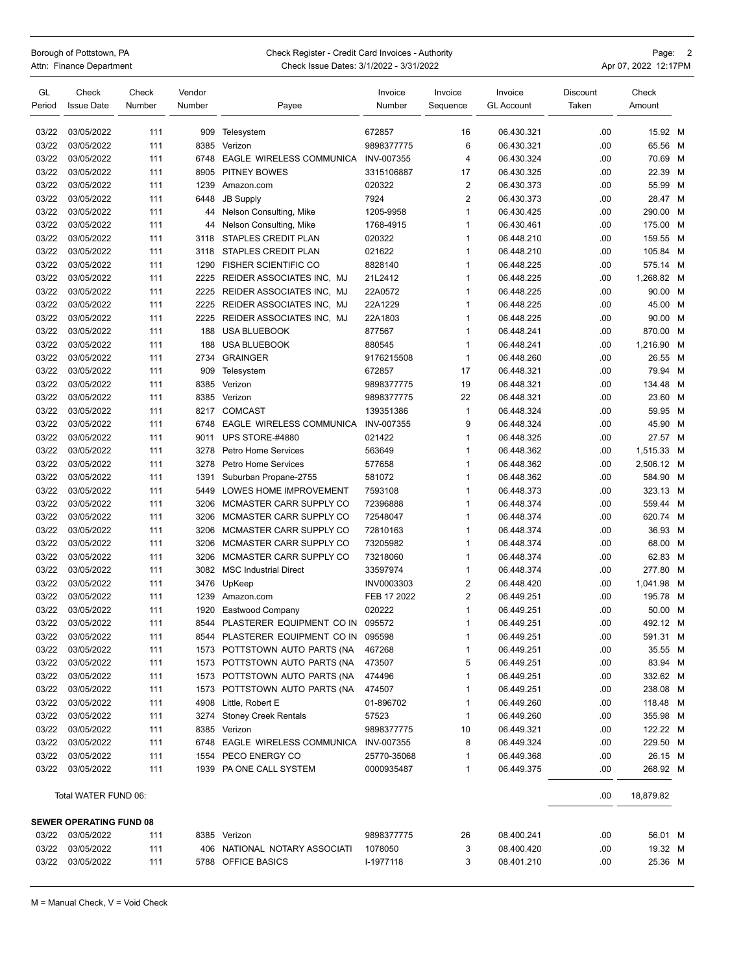## Borough of Pottstown, PA **Check Register - Credit Card Invoices - Authority Check Register - Credit Card Invoices - Authority**

Attn: Finance Department **Check Issue Dates: 3/1/2022 - 3/31/2022** Apr 07, 2022 12:17PM

| GL<br>Period | Check<br><b>Issue Date</b>     | Check<br>Number | Vendor<br>Number | Payee                           | Invoice<br>Number | Invoice<br>Sequence | Invoice<br><b>GL Account</b> | <b>Discount</b><br>Taken | Check<br>Amount |   |
|--------------|--------------------------------|-----------------|------------------|---------------------------------|-------------------|---------------------|------------------------------|--------------------------|-----------------|---|
| 03/22        | 03/05/2022                     | 111             | 909              |                                 | 672857            | 16                  | 06.430.321                   | .00                      | 15.92 M         |   |
| 03/22        | 03/05/2022                     | 111             | 8385             | Telesystem<br>Verizon           | 9898377775        | 6                   | 06.430.321                   | .00                      | 65.56 M         |   |
| 03/22        | 03/05/2022                     | 111             | 6748             | <b>EAGLE WIRELESS COMMUNICA</b> | INV-007355        | $\overline{4}$      | 06.430.324                   | .00                      | 70.69 M         |   |
| 03/22        | 03/05/2022                     | 111             | 8905             | <b>PITNEY BOWES</b>             | 3315106887        | 17                  | 06.430.325                   | .00                      | 22.39 M         |   |
| 03/22        | 03/05/2022                     | 111             | 1239             | Amazon.com                      | 020322            | $\overline{2}$      | 06.430.373                   | .00                      | 55.99 M         |   |
| 03/22        | 03/05/2022                     | 111             | 6448             | <b>JB Supply</b>                | 7924              | $\overline{2}$      | 06.430.373                   | .00                      | 28.47           | M |
| 03/22        | 03/05/2022                     | 111             | 44               | Nelson Consulting, Mike         | 1205-9958         | $\mathbf{1}$        | 06.430.425                   | .00                      | 290.00 M        |   |
| 03/22        | 03/05/2022                     | 111             | 44               | Nelson Consulting, Mike         | 1768-4915         | $\mathbf{1}$        | 06.430.461                   | .00                      | 175.00 M        |   |
| 03/22        | 03/05/2022                     | 111             | 3118             | STAPLES CREDIT PLAN             | 020322            | $\mathbf{1}$        | 06.448.210                   | .00                      | 159.55 M        |   |
| 03/22        | 03/05/2022                     | 111             | 3118             | <b>STAPLES CREDIT PLAN</b>      | 021622            | $\mathbf{1}$        | 06.448.210                   | .00                      | 105.84          | M |
| 03/22        | 03/05/2022                     | 111             | 1290             | <b>FISHER SCIENTIFIC CO</b>     | 8828140           | $\mathbf{1}$        | 06.448.225                   | .00                      | 575.14          | M |
| 03/22        | 03/05/2022                     | 111             | 2225             | REIDER ASSOCIATES INC, MJ       | 21L2412           | $\mathbf{1}$        | 06.448.225                   | .00                      | 1,268.82 M      |   |
| 03/22        | 03/05/2022                     | 111             | 2225             | REIDER ASSOCIATES INC, MJ       | 22A0572           | $\mathbf{1}$        | 06.448.225                   | .00                      | 90.00 M         |   |
| 03/22        | 03/05/2022                     | 111             | 2225             | REIDER ASSOCIATES INC, MJ       | 22A1229           | $\mathbf{1}$        | 06.448.225                   | .00                      | 45.00 M         |   |
| 03/22        | 03/05/2022                     | 111             | 2225             | REIDER ASSOCIATES INC, MJ       | 22A1803           | $\mathbf{1}$        | 06.448.225                   | .00                      | 90.00 M         |   |
| 03/22        | 03/05/2022                     | 111             | 188              | <b>USA BLUEBOOK</b>             | 877567            | $\overline{1}$      | 06.448.241                   | .00                      | 870.00 M        |   |
| 03/22        | 03/05/2022                     | 111             | 188              | <b>USA BLUEBOOK</b>             | 880545            | $\mathbf{1}$        | 06.448.241                   | .00                      | 1,216.90        | M |
| 03/22        | 03/05/2022                     | 111             | 2734             | <b>GRAINGER</b>                 | 9176215508        | $\mathbf{1}$        | 06.448.260                   | .00                      | 26.55 M         |   |
| 03/22        | 03/05/2022                     | 111             | 909              | Telesystem                      | 672857            | 17                  | 06.448.321                   | .00                      | 79.94 M         |   |
| 03/22        | 03/05/2022                     | 111             | 8385             | Verizon                         | 9898377775        | 19                  | 06.448.321                   | .00                      | 134.48 M        |   |
| 03/22        | 03/05/2022                     | 111             | 8385             | Verizon                         | 9898377775        | 22                  | 06.448.321                   | .00                      | 23.60 M         |   |
| 03/22        | 03/05/2022                     | 111             | 8217             | <b>COMCAST</b>                  | 139351386         | $\mathbf{1}$        | 06.448.324                   | .00                      | 59.95 M         |   |
| 03/22        | 03/05/2022                     | 111             | 6748             | <b>EAGLE WIRELESS COMMUNICA</b> | INV-007355        | 9                   | 06.448.324                   | .00                      | 45.90 M         |   |
| 03/22        | 03/05/2022                     | 111             | 9011             | UPS STORE-#4880                 | 021422            | $\mathbf{1}$        | 06.448.325                   | .00                      | 27.57 M         |   |
| 03/22        | 03/05/2022                     | 111             | 3278             | <b>Petro Home Services</b>      | 563649            | $\mathbf{1}$        | 06.448.362                   | .00                      | 1,515.33 M      |   |
| 03/22        | 03/05/2022                     | 111             | 3278             | <b>Petro Home Services</b>      | 577658            | $\mathbf{1}$        | 06.448.362                   | .00                      | 2,506.12 M      |   |
| 03/22        | 03/05/2022                     | 111             | 1391             | Suburban Propane-2755           | 581072            | $\mathbf{1}$        | 06.448.362                   | .00                      | 584.90 M        |   |
| 03/22        | 03/05/2022                     | 111             | 5449             | LOWES HOME IMPROVEMENT          | 7593108           | $\mathbf{1}$        | 06.448.373                   | .00                      | 323.13 M        |   |
| 03/22        | 03/05/2022                     | 111             | 3206             | MCMASTER CARR SUPPLY CO         | 72396888          | $\mathbf{1}$        | 06.448.374                   | .00                      | 559.44 M        |   |
| 03/22        | 03/05/2022                     | 111             | 3206             | MCMASTER CARR SUPPLY CO         | 72548047          | $\mathbf{1}$        | 06.448.374                   | .00                      | 620.74 M        |   |
| 03/22        | 03/05/2022                     | 111             | 3206             | MCMASTER CARR SUPPLY CO         | 72810163          | $\mathbf{1}$        | 06.448.374                   | .00                      | 36.93 M         |   |
| 03/22        | 03/05/2022                     | 111             | 3206             | MCMASTER CARR SUPPLY CO         | 73205982          | $\mathbf{1}$        | 06.448.374                   | .00                      | 68.00 M         |   |
| 03/22        | 03/05/2022                     | 111             | 3206             | MCMASTER CARR SUPPLY CO         | 73218060          | $\mathbf{1}$        | 06.448.374                   | .00                      | 62.83 M         |   |
| 03/22        | 03/05/2022                     | 111             | 3082             | <b>MSC Industrial Direct</b>    | 33597974          | $\mathbf{1}$        | 06.448.374                   | .00                      | 277.80 M        |   |
| 03/22        | 03/05/2022                     | 111             | 3476             | UpKeep                          | INV0003303        | $\overline{2}$      | 06.448.420                   | .00                      | 1,041.98        | M |
| 03/22        | 03/05/2022                     | 111             | 1239             | Amazon.com                      | FEB 17 2022       | $\overline{2}$      | 06.449.251                   | .00                      | 195.78          | M |
| 03/22        | 03/05/2022                     | 111             | 1920             | Eastwood Company                | 020222            | $\mathbf{1}$        | 06.449.251                   | .00                      | 50.00 M         |   |
| 03/22        | 03/05/2022                     | 111             | 8544             | PLASTERER EQUIPMENT CO IN       | 095572            | $\mathbf{1}$        | 06.449.251                   | .00                      | 492.12 M        |   |
| 03/22        | 03/05/2022                     | 111             |                  | 8544 PLASTERER EQUIPMENT CO IN  | 095598            | 1                   | 06.449.251                   | .00                      | 591.31 M        |   |
| 03/22        | 03/05/2022                     | 111             |                  | 1573 POTTSTOWN AUTO PARTS (NA   | 467268            | $\mathbf 1$         | 06.449.251                   | .00                      | 35.55 M         |   |
| 03/22        | 03/05/2022                     | 111             | 1573             | POTTSTOWN AUTO PARTS (NA        | 473507            | 5                   | 06.449.251                   | .00                      | 83.94 M         |   |
| 03/22        | 03/05/2022                     | 111             | 1573             | POTTSTOWN AUTO PARTS (NA        | 474496            | 1                   | 06.449.251                   | .00                      | 332.62 M        |   |
| 03/22        | 03/05/2022                     | 111             | 1573             | POTTSTOWN AUTO PARTS (NA        | 474507            | 1                   | 06.449.251                   | .00                      | 238.08 M        |   |
| 03/22        | 03/05/2022                     | 111             | 4908             | Little, Robert E                | 01-896702         | 1                   | 06.449.260                   | .00                      | 118.48 M        |   |
| 03/22        | 03/05/2022                     | 111             |                  | 3274 Stoney Creek Rentals       | 57523             | 1                   | 06.449.260                   | .00                      | 355.98 M        |   |
| 03/22        | 03/05/2022                     | 111             | 8385             | Verizon                         | 9898377775        | 10                  | 06.449.321                   | .00                      | 122.22 M        |   |
| 03/22        | 03/05/2022                     | 111             | 6748             | <b>EAGLE WIRELESS COMMUNICA</b> | INV-007355        | 8                   | 06.449.324                   | .00                      | 229.50 M        |   |
| 03/22        | 03/05/2022                     | 111             | 1554             | PECO ENERGY CO                  | 25770-35068       | 1                   | 06.449.368                   | .00                      | 26.15 M         |   |
| 03/22        | 03/05/2022                     | 111             |                  | 1939 PA ONE CALL SYSTEM         | 0000935487        | 1                   | 06.449.375                   | .00                      | 268.92 M        |   |
|              |                                |                 |                  |                                 |                   |                     |                              |                          |                 |   |
|              | Total WATER FUND 06:           |                 |                  |                                 |                   |                     |                              | .00                      | 18,879.82       |   |
|              | <b>SEWER OPERATING FUND 08</b> |                 |                  |                                 |                   |                     |                              |                          |                 |   |
| 03/22        | 03/05/2022                     | 111             |                  | 8385 Verizon                    | 9898377775        | 26                  | 08.400.241                   | .00                      | 56.01 M         |   |
| 03/22        | 03/05/2022                     | 111             | 406              | NATIONAL NOTARY ASSOCIATI       | 1078050           | 3                   | 08.400.420                   | .00                      | 19.32 M         |   |
| 03/22        | 03/05/2022                     | 111             |                  | 5788 OFFICE BASICS              | I-1977118         | 3                   | 08.401.210                   | .00                      | 25.36 M         |   |

M = Manual Check, V = Void Check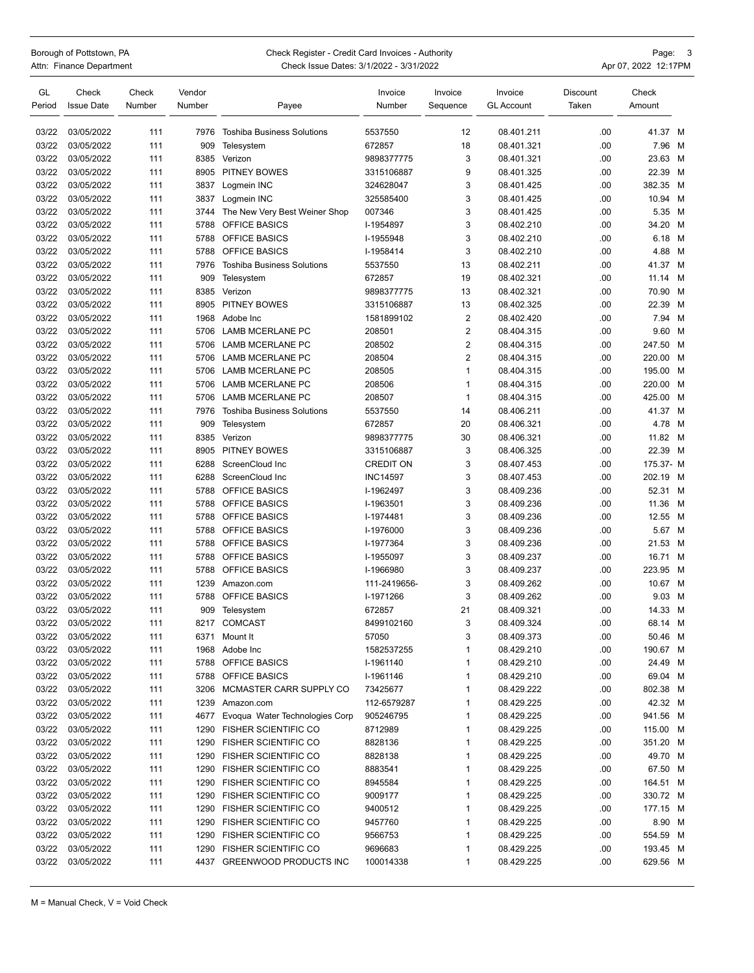## Borough of Pottstown, PA **Check Register - Credit Card Invoices - Authority** Page: 3

|                                                                                                                                             |                                         | -------              |
|---------------------------------------------------------------------------------------------------------------------------------------------|-----------------------------------------|----------------------|
|                                                                                                                                             |                                         | _______              |
| Attn: Finance Department<br>the contract of the contract of the contract of the contract of the contract of the contract of the contract of | Check Issue Dates: 3/1/2022 - 3/31/2022 | Apr 07, 2022 12:17PM |

| GL     | Check             | Check  | Vendor |                                   | Invoice          | Invoice        | Invoice           | Discount | Check     |   |
|--------|-------------------|--------|--------|-----------------------------------|------------------|----------------|-------------------|----------|-----------|---|
| Period | <b>Issue Date</b> | Number | Number | Payee                             | Number           | Sequence       | <b>GL Account</b> | Taken    | Amount    |   |
| 03/22  | 03/05/2022        | 111    | 7976   | <b>Toshiba Business Solutions</b> | 5537550          | 12             | 08.401.211        | .00      | 41.37 M   |   |
| 03/22  | 03/05/2022        | 111    | 909    | Telesystem                        | 672857           | 18             | 08.401.321        | .00      | 7.96      | M |
| 03/22  | 03/05/2022        | 111    | 8385   | Verizon                           | 9898377775       | 3              | 08.401.321        | .00      | 23.63 M   |   |
| 03/22  | 03/05/2022        | 111    | 8905   | PITNEY BOWES                      | 3315106887       | 9              | 08.401.325        | .00      | 22.39     | M |
| 03/22  | 03/05/2022        | 111    | 3837   | Logmein INC                       | 324628047        | 3              | 08.401.425        | .00      | 382.35    | M |
| 03/22  | 03/05/2022        | 111    | 3837   | Logmein INC                       | 325585400        | 3              | 08.401.425        | .00      | 10.94 M   |   |
| 03/22  | 03/05/2022        | 111    | 3744   | The New Very Best Weiner Shop     | 007346           | 3              | 08.401.425        | .00      | 5.35 M    |   |
| 03/22  | 03/05/2022        | 111    | 5788   | OFFICE BASICS                     | I-1954897        | 3              | 08.402.210        | .00      | 34.20 M   |   |
| 03/22  | 03/05/2022        | 111    | 5788   | <b>OFFICE BASICS</b>              | I-1955948        | 3              | 08.402.210        | .00      | 6.18 M    |   |
| 03/22  | 03/05/2022        | 111    | 5788   | OFFICE BASICS                     | I-1958414        | 3              | 08.402.210        | .00      | 4.88 M    |   |
| 03/22  | 03/05/2022        | 111    | 7976   | <b>Toshiba Business Solutions</b> | 5537550          | 13             | 08.402.211        | .00      | 41.37 M   |   |
| 03/22  | 03/05/2022        | 111    | 909    | Telesystem                        | 672857           | 19             | 08.402.321        | .00      | 11.14 M   |   |
| 03/22  | 03/05/2022        | 111    | 8385   | Verizon                           | 9898377775       | 13             | 08.402.321        | .00      | 70.90 M   |   |
| 03/22  | 03/05/2022        | 111    | 8905   | PITNEY BOWES                      | 3315106887       | 13             | 08.402.325        | .00      | 22.39     | M |
| 03/22  | 03/05/2022        | 111    | 1968   | Adobe Inc                         | 1581899102       | $\overline{2}$ | 08.402.420        | .00      | 7.94 M    |   |
| 03/22  | 03/05/2022        | 111    | 5706   | <b>LAMB MCERLANE PC</b>           | 208501           | 2              | 08.404.315        | .00      | 9.60 M    |   |
| 03/22  | 03/05/2022        | 111    | 5706   | LAMB MCERLANE PC                  | 208502           | 2              | 08.404.315        | .00      | 247.50 M  |   |
| 03/22  | 03/05/2022        | 111    | 5706   | <b>LAMB MCERLANE PC</b>           | 208504           | $\overline{2}$ | 08.404.315        | .00      | 220.00    | M |
| 03/22  | 03/05/2022        | 111    | 5706   | <b>LAMB MCERLANE PC</b>           | 208505           | 1              | 08.404.315        | .00      | 195.00    | M |
| 03/22  | 03/05/2022        | 111    | 5706   | LAMB MCERLANE PC                  | 208506           | 1              | 08.404.315        | .00      | 220.00    | M |
| 03/22  | 03/05/2022        | 111    | 5706   | LAMB MCERLANE PC                  | 208507           | 1              | 08.404.315        | .00      | 425.00 M  |   |
| 03/22  | 03/05/2022        | 111    | 7976   | <b>Toshiba Business Solutions</b> | 5537550          | 14             | 08.406.211        | .00      | 41.37 M   |   |
| 03/22  | 03/05/2022        | 111    | 909    | Telesystem                        | 672857           | 20             | 08.406.321        | .00      | 4.78 M    |   |
| 03/22  | 03/05/2022        | 111    | 8385   | Verizon                           | 9898377775       | 30             | 08.406.321        | .00      | 11.82     | M |
| 03/22  | 03/05/2022        | 111    | 8905   | PITNEY BOWES                      | 3315106887       | 3              | 08.406.325        | .00      | 22.39 M   |   |
| 03/22  | 03/05/2022        | 111    | 6288   | ScreenCloud Inc                   | <b>CREDIT ON</b> | 3              | 08.407.453        | .00      | 175.37- M |   |
| 03/22  | 03/05/2022        | 111    | 6288   | ScreenCloud Inc                   | <b>INC14597</b>  | 3              | 08.407.453        | .00      | 202.19 M  |   |
| 03/22  | 03/05/2022        | 111    | 5788   | OFFICE BASICS                     | I-1962497        | 3              | 08.409.236        | .00      | 52.31 M   |   |
| 03/22  | 03/05/2022        | 111    | 5788   | OFFICE BASICS                     | I-1963501        | 3              | 08.409.236        | .00      | 11.36     | M |
| 03/22  | 03/05/2022        | 111    | 5788   | OFFICE BASICS                     | I-1974481        | 3              | 08.409.236        | .00      | 12.55 M   |   |
| 03/22  | 03/05/2022        | 111    | 5788   | OFFICE BASICS                     | I-1976000        | 3              | 08.409.236        | .00      | 5.67 M    |   |
| 03/22  | 03/05/2022        | 111    | 5788   | OFFICE BASICS                     | I-1977364        | 3              | 08.409.236        | .00      | 21.53 M   |   |
| 03/22  | 03/05/2022        | 111    | 5788   | <b>OFFICE BASICS</b>              | I-1955097        | 3              | 08.409.237        | .00      | 16.71 M   |   |
| 03/22  | 03/05/2022        | 111    | 5788   | OFFICE BASICS                     | I-1966980        | 3              | 08.409.237        | .00      | 223.95    | M |
| 03/22  | 03/05/2022        | 111    | 1239   | Amazon.com                        | 111-2419656-     | 3              | 08.409.262        | .00      | 10.67 M   |   |
| 03/22  | 03/05/2022        | 111    | 5788   | OFFICE BASICS                     | I-1971266        | 3              | 08.409.262        | .00      | 9.03 M    |   |
| 03/22  | 03/05/2022        | 111    | 909    | Telesystem                        | 672857           | 21             | 08.409.321        | .00      | 14.33 M   |   |
| 03/22  | 03/05/2022        | 111    | 8217   | <b>COMCAST</b>                    | 8499102160       | 3              | 08.409.324        | .00      | 68.14 M   |   |
| 03/22  | 03/05/2022        | 111    |        | 6371 Mount It                     | 57050            | 3              | 08.409.373        | .00      | 50.46 M   |   |
| 03/22  | 03/05/2022        | 111    |        | 1968 Adobe Inc                    | 1582537255       | 1              | 08.429.210        | .00      | 190.67 M  |   |
| 03/22  | 03/05/2022        | 111    | 5788   | <b>OFFICE BASICS</b>              | I-1961140        | 1              | 08.429.210        | .00      | 24.49 M   |   |
| 03/22  | 03/05/2022        | 111    | 5788   | <b>OFFICE BASICS</b>              | I-1961146        | 1              | 08.429.210        | .00      | 69.04 M   |   |
| 03/22  | 03/05/2022        | 111    | 3206   | MCMASTER CARR SUPPLY CO           | 73425677         | 1              | 08.429.222        | .00      | 802.38 M  |   |
| 03/22  | 03/05/2022        | 111    | 1239   | Amazon.com                        | 112-6579287      | 1              | 08.429.225        | .00      | 42.32 M   |   |
| 03/22  | 03/05/2022        | 111    | 4677   | Evoqua Water Technologies Corp    | 905246795        | 1              | 08.429.225        | .00      | 941.56 M  |   |
| 03/22  | 03/05/2022        | 111    | 1290   | <b>FISHER SCIENTIFIC CO</b>       | 8712989          | 1              | 08.429.225        | .00      | 115.00 M  |   |
| 03/22  | 03/05/2022        | 111    | 1290   | <b>FISHER SCIENTIFIC CO</b>       | 8828136          | 1              | 08.429.225        | .00      | 351.20 M  |   |
| 03/22  | 03/05/2022        | 111    | 1290   | <b>FISHER SCIENTIFIC CO</b>       | 8828138          | 1              | 08.429.225        | .00      | 49.70 M   |   |
| 03/22  | 03/05/2022        | 111    | 1290   | <b>FISHER SCIENTIFIC CO</b>       | 8883541          | 1              | 08.429.225        | .00      | 67.50 M   |   |
| 03/22  | 03/05/2022        | 111    | 1290   | <b>FISHER SCIENTIFIC CO</b>       | 8945584          | 1              | 08.429.225        | .00      | 164.51 M  |   |
| 03/22  | 03/05/2022        | 111    | 1290   | <b>FISHER SCIENTIFIC CO</b>       | 9009177          | 1              | 08.429.225        | .00      | 330.72 M  |   |
| 03/22  | 03/05/2022        | 111    | 1290   | <b>FISHER SCIENTIFIC CO</b>       | 9400512          | 1              | 08.429.225        | .00      | 177.15 M  |   |
| 03/22  | 03/05/2022        | 111    | 1290   | <b>FISHER SCIENTIFIC CO</b>       | 9457760          | 1              | 08.429.225        | .00      | 8.90 M    |   |
| 03/22  | 03/05/2022        | 111    | 1290   | <b>FISHER SCIENTIFIC CO</b>       | 9566753          | 1              | 08.429.225        | .00      | 554.59 M  |   |
| 03/22  | 03/05/2022        | 111    | 1290   | <b>FISHER SCIENTIFIC CO</b>       | 9696683          | 1              | 08.429.225        | .00      | 193.45 M  |   |
| 03/22  | 03/05/2022        | 111    |        | 4437 GREENWOOD PRODUCTS INC       | 100014338        | 1              | 08.429.225        | .00      | 629.56 M  |   |
|        |                   |        |        |                                   |                  |                |                   |          |           |   |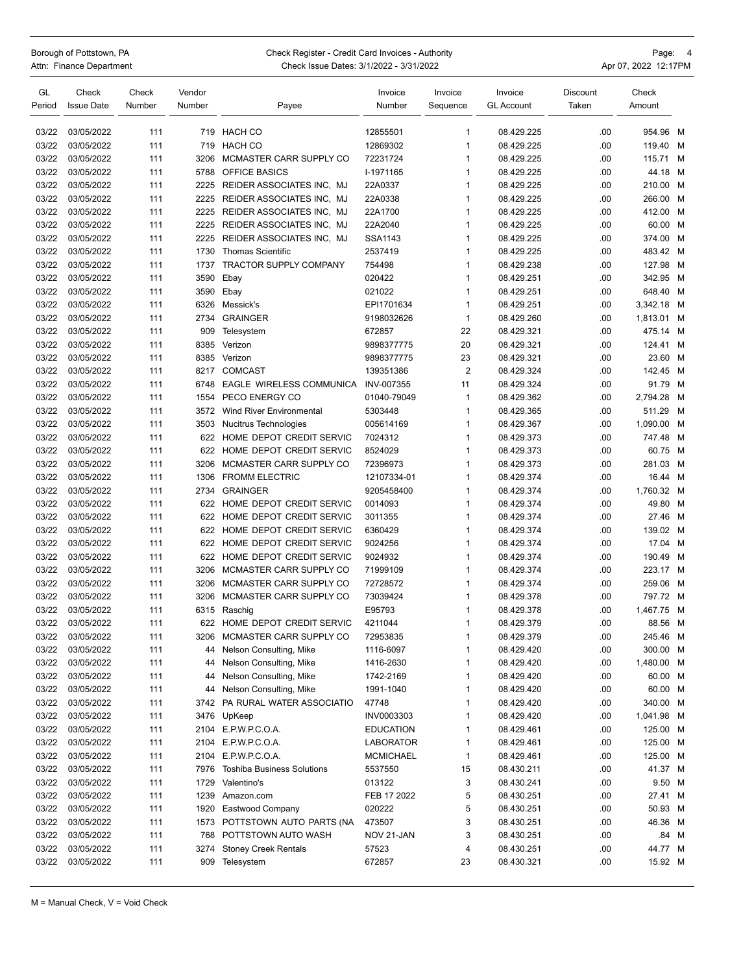## Borough of Pottstown, PA **Check Register - Credit Card Invoices - Authority Check Register - Credit Card Invoices - Authority** Attn: Finance Department **Check Issue Dates: 3/1/2022 - 3/31/2022** Apr 07, 2022 12:17PM

| GL<br>Period | Check<br><b>Issue Date</b> | Check<br>Number | Vendor<br>Number | Payee                             | Invoice<br>Number    | Invoice<br>Sequence          | Invoice<br><b>GL Account</b> | Discount<br>Taken | Check<br>Amount |       |
|--------------|----------------------------|-----------------|------------------|-----------------------------------|----------------------|------------------------------|------------------------------|-------------------|-----------------|-------|
|              |                            |                 |                  |                                   |                      |                              |                              |                   |                 |       |
| 03/22        | 03/05/2022<br>03/05/2022   | 111             | 719              | HACH CO                           | 12855501             | $\mathbf{1}$<br>$\mathbf{1}$ | 08.429.225                   | .00<br>.00        | 954.96          | M     |
| 03/22        |                            | 111             | 719              | HACH CO                           | 12869302<br>72231724 |                              | 08.429.225<br>08.429.225     |                   | 119.40          | M     |
| 03/22        | 03/05/2022                 | 111             | 3206             | MCMASTER CARR SUPPLY CO           |                      | $\mathbf{1}$                 |                              | .00               | 115.71 M        |       |
| 03/22        | 03/05/2022                 | 111             | 5788             | OFFICE BASICS                     | I-1971165            | $\mathbf{1}$<br>$\mathbf{1}$ | 08.429.225                   | .00               | 44.18           | M     |
| 03/22        | 03/05/2022                 | 111             | 2225<br>2225     | REIDER ASSOCIATES INC, MJ         | 22A0337              |                              | 08.429.225                   | .00               | 210.00 M        |       |
| 03/22        | 03/05/2022                 | 111             |                  | REIDER ASSOCIATES INC, MJ         | 22A0338              | $\mathbf{1}$<br>$\mathbf{1}$ | 08.429.225                   | .00               | 266.00          | M     |
| 03/22        | 03/05/2022                 | 111             | 2225             | REIDER ASSOCIATES INC. MJ         | 22A1700              |                              | 08.429.225                   | .00               | 412.00          | M     |
| 03/22        | 03/05/2022                 | 111             | 2225             | REIDER ASSOCIATES INC, MJ         | 22A2040              | $\mathbf{1}$                 | 08.429.225                   | .00               | 60.00 M         |       |
| 03/22        | 03/05/2022                 | 111             | 2225             | REIDER ASSOCIATES INC. MJ         | SSA1143              | $\mathbf{1}$                 | 08.429.225                   | .00               | 374.00 M        |       |
| 03/22        | 03/05/2022                 | 111             | 1730             | <b>Thomas Scientific</b>          | 2537419              | $\mathbf{1}$                 | 08.429.225                   | .00               | 483.42 M        |       |
| 03/22        | 03/05/2022                 | 111             | 1737             | TRACTOR SUPPLY COMPANY            | 754498               | $\mathbf{1}$                 | 08.429.238                   | .00               | 127.98          | M     |
| 03/22        | 03/05/2022                 | 111             | 3590             | Ebay                              | 020422               | 1                            | 08.429.251                   | .00               | 342.95          | M     |
| 03/22        | 03/05/2022                 | 111             | 3590             | Ebay                              | 021022               | $\mathbf{1}$                 | 08.429.251                   | .00               | 648.40 M        |       |
| 03/22        | 03/05/2022                 | 111             | 6326             | Messick's                         | EPI1701634           | $\mathbf{1}$                 | 08.429.251                   | .00               | 3,342.18 M      |       |
| 03/22        | 03/05/2022                 | 111             | 2734             | <b>GRAINGER</b>                   | 9198032626           | $\mathbf{1}$                 | 08.429.260                   | .00               | 1,813.01 M      |       |
| 03/22        | 03/05/2022                 | 111             | 909              | Telesystem                        | 672857               | 22                           | 08.429.321                   | .00               | 475.14 M        |       |
| 03/22        | 03/05/2022                 | 111             | 8385             | Verizon                           | 9898377775           | 20                           | 08.429.321                   | .00               | 124.41          | M     |
| 03/22        | 03/05/2022                 | 111             | 8385             | Verizon                           | 9898377775           | 23                           | 08.429.321                   | .00               | 23.60           | M     |
| 03/22        | 03/05/2022                 | 111             | 8217             | <b>COMCAST</b>                    | 139351386            | $\overline{2}$               | 08.429.324                   | .00               | 142.45          | M     |
| 03/22        | 03/05/2022                 | 111             | 6748             | EAGLE WIRELESS COMMUNICA          | INV-007355           | 11                           | 08.429.324                   | .00               | 91.79           | M     |
| 03/22        | 03/05/2022                 | 111             | 1554             | PECO ENERGY CO                    | 01040-79049          | $\mathbf{1}$                 | 08.429.362                   | .00               | 2,794.28 M      |       |
| 03/22        | 03/05/2022                 | 111             | 3572             | <b>Wind River Environmental</b>   | 5303448              | $\mathbf{1}$                 | 08.429.365                   | .00               | 511.29          | M     |
| 03/22        | 03/05/2022                 | 111             | 3503             | Nucitrus Technologies             | 005614169            | $\mathbf{1}$                 | 08.429.367                   | .00               | 1,090.00        | M     |
| 03/22        | 03/05/2022                 | 111             | 622              | HOME DEPOT CREDIT SERVIC          | 7024312              | $\mathbf{1}$                 | 08.429.373                   | .00               | 747.48          | M     |
| 03/22        | 03/05/2022                 | 111             | 622              | HOME DEPOT CREDIT SERVIC          | 8524029              | $\mathbf{1}$                 | 08.429.373                   | .00               | 60.75           | M     |
| 03/22        | 03/05/2022                 | 111             | 3206             | MCMASTER CARR SUPPLY CO           | 72396973             | $\mathbf{1}$                 | 08.429.373                   | .00               | 281.03          | M     |
| 03/22        | 03/05/2022                 | 111             | 1306             | <b>FROMM ELECTRIC</b>             | 12107334-01          | $\mathbf{1}$                 | 08.429.374                   | .00               | 16.44 M         |       |
| 03/22        | 03/05/2022                 | 111             | 2734             | <b>GRAINGER</b>                   | 9205458400           | $\mathbf{1}$                 | 08.429.374                   | .00               | 1,760.32 M      |       |
| 03/22        | 03/05/2022                 | 111             | 622              | HOME DEPOT CREDIT SERVIC          | 0014093              | $\mathbf{1}$                 | 08.429.374                   | .00               | 49.80 M         |       |
| 03/22        | 03/05/2022                 | 111             | 622              | HOME DEPOT CREDIT SERVIC          | 3011355              | $\mathbf{1}$                 | 08.429.374                   | .00               | 27.46           | M     |
| 03/22        | 03/05/2022                 | 111             | 622              | HOME DEPOT CREDIT SERVIC          | 6360429              | $\mathbf{1}$                 | 08.429.374                   | .00               | 139.02 M        |       |
| 03/22        | 03/05/2022                 | 111             | 622              | HOME DEPOT CREDIT SERVIC          | 9024256              | $\mathbf{1}$                 | 08.429.374                   | .00               | 17.04 M         |       |
| 03/22        | 03/05/2022                 | 111             | 622              | HOME DEPOT CREDIT SERVIC          | 9024932              | $\mathbf{1}$                 | 08.429.374                   | .00               | 190.49          | M     |
| 03/22        | 03/05/2022                 | 111             | 3206             | MCMASTER CARR SUPPLY CO           | 71999109             | $\mathbf{1}$                 | 08.429.374                   | .00               | 223.17 M        |       |
| 03/22        | 03/05/2022                 | 111             | 3206             | MCMASTER CARR SUPPLY CO           | 72728572             | $\mathbf{1}$                 | 08.429.374                   | .00               | 259.06          | M     |
| 03/22        | 03/05/2022                 | 111             | 3206             | MCMASTER CARR SUPPLY CO           | 73039424             | $\mathbf{1}$                 | 08.429.378                   | .00               | 797.72 M        |       |
| 03/22        | 03/05/2022                 | 111             | 6315             | Raschig                           | E95793               | $\mathbf{1}$                 | 08.429.378                   | .00               | 1,467.75        | M     |
| 03/22        | 03/05/2022                 | 111             | 622              | HOME DEPOT CREDIT SERVIC          | 4211044              | 1                            | 08.429.379                   | .00               | 88.56 M         |       |
| 03/22        | 03/05/2022                 | 111             | 3206             | MCMASTER CARR SUPPLY CO           | 72953835             | 1                            | 08.429.379                   | .00               | 245.46 M        |       |
| 03/22        | 03/05/2022                 | 111             | 44               | Nelson Consulting, Mike           | 1116-6097            | $\mathbf{1}$                 | 08.429.420                   | .00               | 300.00 M        |       |
| 03/22        | 03/05/2022                 | 111             | 44               | Nelson Consulting, Mike           | 1416-2630            | $\mathbf{1}$                 | 08.429.420                   | .00               | 1,480.00 M      |       |
| 03/22        | 03/05/2022                 | 111             | 44               | Nelson Consulting, Mike           | 1742-2169            | $\mathbf{1}$                 | 08.429.420                   | .00               | 60.00 M         |       |
| 03/22        | 03/05/2022                 | 111             | 44               | Nelson Consulting, Mike           | 1991-1040            | $\mathbf{1}$                 | 08.429.420                   | .00               | 60.00 M         |       |
| 03/22        | 03/05/2022                 | 111             | 3742             | PA RURAL WATER ASSOCIATIO         | 47748                | $\mathbf{1}$                 | 08.429.420                   | .00               | 340.00 M        |       |
| 03/22        | 03/05/2022                 | 111             | 3476             | UpKeep                            | INV0003303           | $\mathbf{1}$                 | 08.429.420                   | .00               | 1,041.98 M      |       |
| 03/22        | 03/05/2022                 | 111             | 2104             | E.P.W.P.C.O.A.                    | <b>EDUCATION</b>     | $\mathbf{1}$                 | 08.429.461                   | .00               | 125.00 M        |       |
| 03/22        | 03/05/2022                 | 111             | 2104             | E.P.W.P.C.O.A.                    | <b>LABORATOR</b>     | $\mathbf{1}$                 | 08.429.461                   | .00               | 125.00 M        |       |
| 03/22        | 03/05/2022                 | 111             | 2104             | E.P.W.P.C.O.A.                    | MCMICHAEL            | $\mathbf{1}$                 | 08.429.461                   | .00               | 125.00 M        |       |
| 03/22        | 03/05/2022                 | 111             | 7976             | <b>Toshiba Business Solutions</b> | 5537550              | 15                           | 08.430.211                   | .00               | 41.37 M         |       |
| 03/22        | 03/05/2022                 | 111             | 1729             | Valentino's                       | 013122               | 3                            | 08.430.241                   | .00               | 9.50 M          |       |
| 03/22        | 03/05/2022                 | 111             | 1239             | Amazon.com                        | FEB 17 2022          | 5                            | 08.430.251                   | .00               | 27.41 M         |       |
| 03/22        | 03/05/2022                 | 111             | 1920             | Eastwood Company                  | 020222               | 5                            | 08.430.251                   | .00               | 50.93 M         |       |
| 03/22        | 03/05/2022                 | 111             | 1573             | POTTSTOWN AUTO PARTS (NA          | 473507               | 3                            | 08.430.251                   | .00               | 46.36 M         |       |
| 03/22        | 03/05/2022                 | 111             | 768              | POTTSTOWN AUTO WASH               | NOV 21-JAN           | 3                            | 08.430.251                   | .00               |                 | .84 M |
| 03/22        | 03/05/2022                 | 111             | 3274             | <b>Stoney Creek Rentals</b>       | 57523                | 4                            | 08.430.251                   | .00               | 44.77 M         |       |
| 03/22        | 03/05/2022                 | 111             | 909              | Telesystem                        | 672857               | 23                           | 08.430.321                   | .00               | 15.92 M         |       |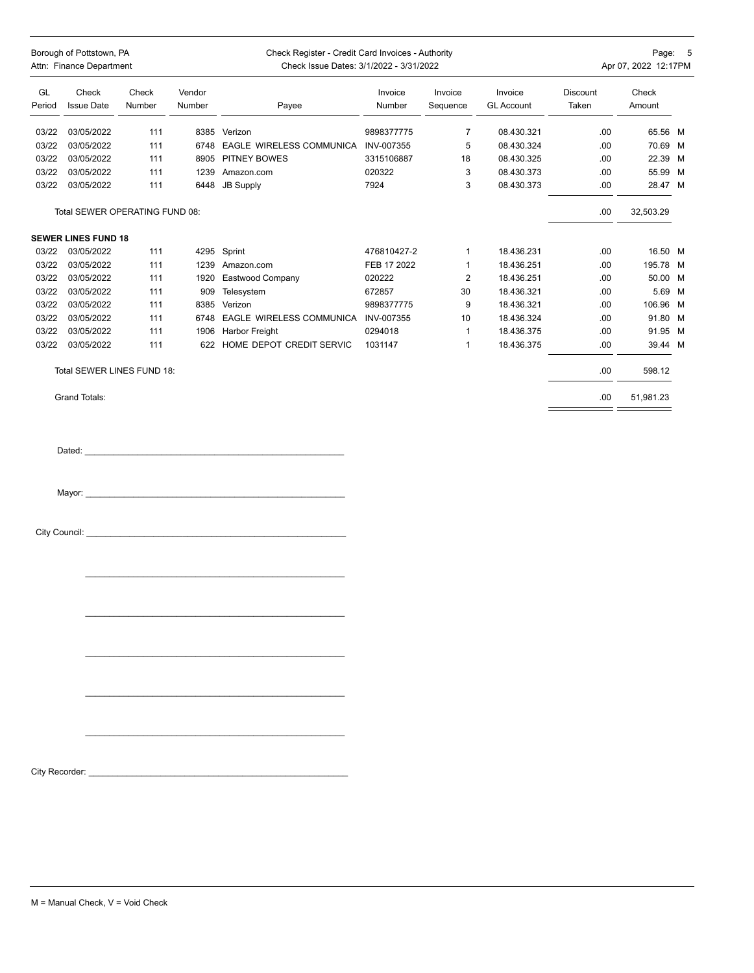|                | Borough of Pottstown, PA<br>Attn: Finance Department |                 |                  | Check Register - Credit Card Invoices - Authority<br>Check Issue Dates: 3/1/2022 - 3/31/2022                                                                                                                                   |                   |                              |                              |                   | Page: 5<br>Apr 07, 2022 12:17PM |  |
|----------------|------------------------------------------------------|-----------------|------------------|--------------------------------------------------------------------------------------------------------------------------------------------------------------------------------------------------------------------------------|-------------------|------------------------------|------------------------------|-------------------|---------------------------------|--|
| GL<br>Period   | Check<br><b>Issue Date</b>                           | Check<br>Number | Vendor<br>Number | Payee                                                                                                                                                                                                                          | Invoice<br>Number | Invoice<br>Sequence          | Invoice<br><b>GL Account</b> | Discount<br>Taken | Check<br>Amount                 |  |
| 03/22          | 03/05/2022                                           | 111             |                  | 8385 Verizon                                                                                                                                                                                                                   | 9898377775        | $\overline{7}$               | 08.430.321                   | .00               | 65.56 M                         |  |
| 03/22          | 03/05/2022                                           | 111             |                  | 6748 EAGLE WIRELESS COMMUNICA INV-007355                                                                                                                                                                                       |                   | 5                            | 08.430.324                   | .00               | 70.69 M                         |  |
| 03/22          | 03/05/2022                                           | 111             |                  | 8905 PITNEY BOWES                                                                                                                                                                                                              | 3315106887        | 18                           | 08.430.325                   | .00               | 22.39 M                         |  |
| 03/22          | 03/05/2022                                           | 111             |                  | 1239 Amazon.com                                                                                                                                                                                                                | 020322            | 3                            | 08.430.373                   | .00               | 55.99 M                         |  |
| 03/22          | 03/05/2022                                           | 111             |                  | 6448 JB Supply                                                                                                                                                                                                                 | 7924              | 3                            | 08.430.373                   | .00               | 28.47 M                         |  |
|                | Total SEWER OPERATING FUND 08:                       |                 |                  |                                                                                                                                                                                                                                |                   |                              |                              | .00               | 32,503.29                       |  |
|                | <b>SEWER LINES FUND 18</b>                           |                 |                  |                                                                                                                                                                                                                                |                   |                              |                              |                   |                                 |  |
| 03/22          | 03/05/2022                                           | 111             |                  | 4295 Sprint                                                                                                                                                                                                                    | 476810427-2       | $\mathbf{1}$                 | 18.436.231                   | .00               | 16.50 M                         |  |
| 03/22          | 03/05/2022                                           | 111             |                  | 1239 Amazon.com                                                                                                                                                                                                                | FEB 17 2022       | $\mathbf{1}$                 | 18.436.251                   | .00               | 195.78 M                        |  |
| 03/22          | 03/05/2022                                           | 111             |                  | 1920 Eastwood Company                                                                                                                                                                                                          | 020222            | $\overline{2}$               | 18.436.251                   | .00.              | 50.00 M                         |  |
| 03/22          | 03/05/2022                                           | 111             |                  | 909 Telesystem                                                                                                                                                                                                                 | 672857            | 30                           | 18.436.321                   | .00.              | 5.69 M                          |  |
| 03/22          | 03/05/2022                                           | 111             |                  | 8385 Verizon                                                                                                                                                                                                                   | 9898377775        | 9                            | 18.436.321                   | .00               | 106.96 M                        |  |
| 03/22          | 03/05/2022                                           | 111             |                  | 6748 EAGLE WIRELESS COMMUNICA INV-007355                                                                                                                                                                                       |                   | 10                           | 18.436.324                   | .00               | 91.80 M                         |  |
| 03/22          | 03/05/2022                                           |                 |                  | 1906 Harbor Freight                                                                                                                                                                                                            | 0294018           |                              |                              |                   |                                 |  |
| 03/22          | 03/05/2022                                           | 111<br>111      |                  | 622 HOME DEPOT CREDIT SERVIC                                                                                                                                                                                                   | 1031147           | $\mathbf{1}$<br>$\mathbf{1}$ | 18.436.375<br>18.436.375     | .00<br>.00        | 91.95 M<br>39.44 M              |  |
|                | Total SEWER LINES FUND 18:                           |                 |                  |                                                                                                                                                                                                                                |                   |                              |                              | .00.              | 598.12                          |  |
|                |                                                      |                 |                  |                                                                                                                                                                                                                                |                   |                              |                              |                   |                                 |  |
|                | Grand Totals:                                        |                 |                  |                                                                                                                                                                                                                                |                   |                              |                              | .00               | 51,981.23                       |  |
|                |                                                      |                 |                  | Dated: experience and a series of the series of the series of the series of the series of the series of the series of the series of the series of the series of the series of the series of the series of the series of the se |                   |                              |                              |                   |                                 |  |
| City Recorder: |                                                      |                 |                  |                                                                                                                                                                                                                                |                   |                              |                              |                   |                                 |  |